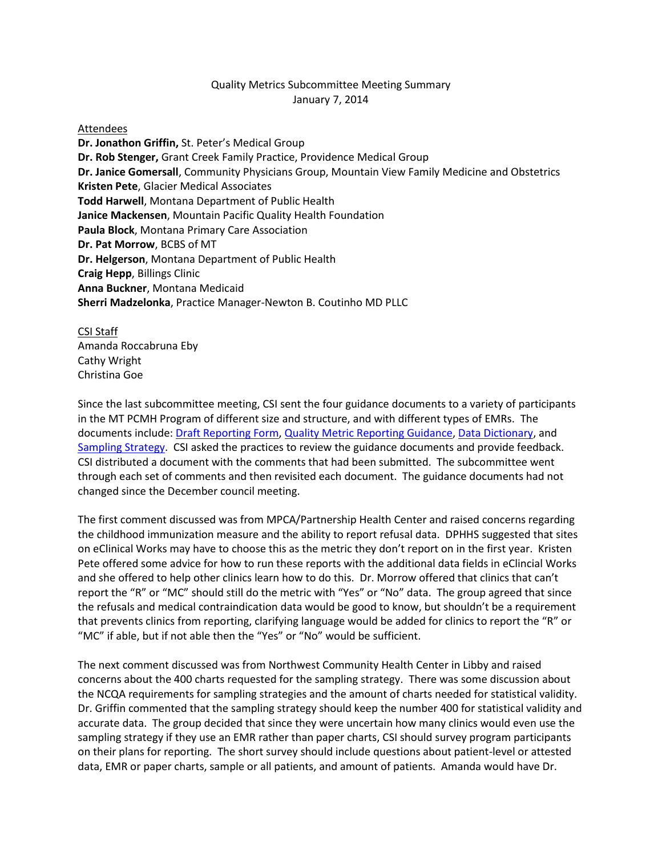## Quality Metrics Subcommittee Meeting Summary January 7, 2014

## Attendees

**Dr. Jonathon Griffin,** St. Peter's Medical Group **Dr. Rob Stenger,** Grant Creek Family Practice, Providence Medical Group **Dr. Janice Gomersall**, Community Physicians Group, Mountain View Family Medicine and Obstetrics **Kristen Pete**, Glacier Medical Associates **Todd Harwell**, Montana Department of Public Health **Janice Mackensen**, Mountain Pacific Quality Health Foundation **Paula Block**, Montana Primary Care Association **Dr. Pat Morrow**, BCBS of MT **Dr. Helgerson**, Montana Department of Public Health **Craig Hepp**, Billings Clinic **Anna Buckner**, Montana Medicaid **Sherri Madzelonka**, Practice Manager-Newton B. Coutinho MD PLLC

## CSI Staff

Amanda Roccabruna Eby Cathy Wright Christina Goe

Since the last subcommittee meeting, CSI sent the four guidance documents to a variety of participants in the MT PCMH Program of different size and structure, and with different types of EMRs. The documents include[: Draft Reporting Form,](http://www.csi.mt.gov/medicalhomes/StakeholderCouncil/12172014Meeting/12172014DraftReportingForm(1).pdf) [Quality Metric Reporting Guidance,](http://www.csi.mt.gov/medicalhomes/StakeholderCouncil/12172014Meeting/12172014QualityMetricReportingGuidance(2).pdf) [Data Dictionary,](http://www.csi.mt.gov/medicalhomes/StakeholderCouncil/12172014Meeting/12172014DataDictionary(3).pdf) and [Sampling Strategy.](http://www.csi.mt.gov/medicalhomes/StakeholderCouncil/12172014Meeting/12172014SamplingStrategy(4).pdf) CSI asked the practices to review the guidance documents and provide feedback. CSI distributed a document with the comments that had been submitted. The subcommittee went through each set of comments and then revisited each document. The guidance documents had not changed since the December council meeting.

The first comment discussed was from MPCA/Partnership Health Center and raised concerns regarding the childhood immunization measure and the ability to report refusal data. DPHHS suggested that sites on eClinical Works may have to choose this as the metric they don't report on in the first year. Kristen Pete offered some advice for how to run these reports with the additional data fields in eClincial Works and she offered to help other clinics learn how to do this. Dr. Morrow offered that clinics that can't report the "R" or "MC" should still do the metric with "Yes" or "No" data. The group agreed that since the refusals and medical contraindication data would be good to know, but shouldn't be a requirement that prevents clinics from reporting, clarifying language would be added for clinics to report the "R" or "MC" if able, but if not able then the "Yes" or "No" would be sufficient.

The next comment discussed was from Northwest Community Health Center in Libby and raised concerns about the 400 charts requested for the sampling strategy. There was some discussion about the NCQA requirements for sampling strategies and the amount of charts needed for statistical validity. Dr. Griffin commented that the sampling strategy should keep the number 400 for statistical validity and accurate data. The group decided that since they were uncertain how many clinics would even use the sampling strategy if they use an EMR rather than paper charts, CSI should survey program participants on their plans for reporting. The short survey should include questions about patient-level or attested data, EMR or paper charts, sample or all patients, and amount of patients. Amanda would have Dr.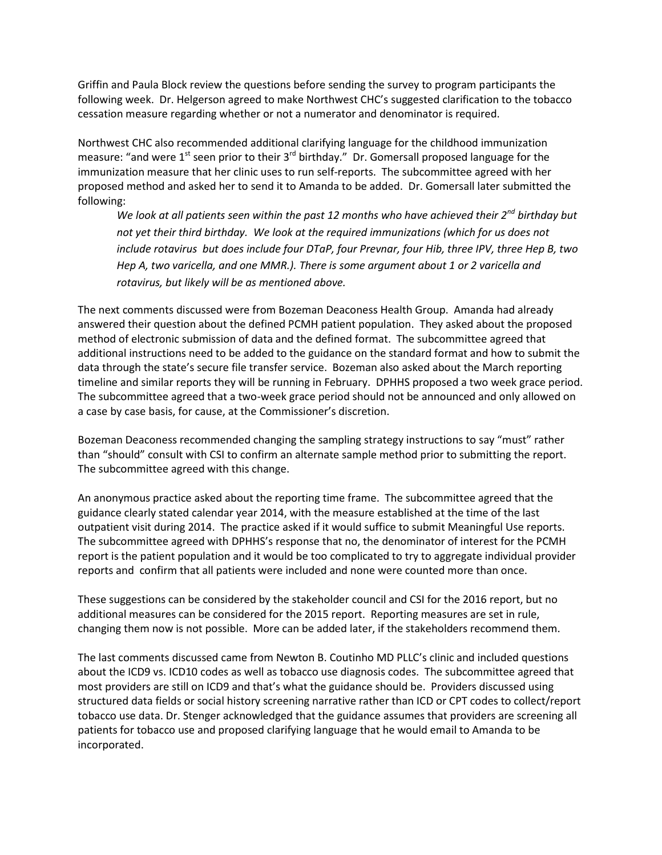Griffin and Paula Block review the questions before sending the survey to program participants the following week. Dr. Helgerson agreed to make Northwest CHC's suggested clarification to the tobacco cessation measure regarding whether or not a numerator and denominator is required.

Northwest CHC also recommended additional clarifying language for the childhood immunization measure: "and were  $1^{st}$  seen prior to their  $3^{rd}$  birthday." Dr. Gomersall proposed language for the immunization measure that her clinic uses to run self-reports. The subcommittee agreed with her proposed method and asked her to send it to Amanda to be added. Dr. Gomersall later submitted the following:

*We look at all patients seen within the past 12 months who have achieved their 2nd birthday but not yet their third birthday. We look at the required immunizations (which for us does not include rotavirus but does include four DTaP, four Prevnar, four Hib, three IPV, three Hep B, two Hep A, two varicella, and one MMR.). There is some argument about 1 or 2 varicella and rotavirus, but likely will be as mentioned above.*

The next comments discussed were from Bozeman Deaconess Health Group. Amanda had already answered their question about the defined PCMH patient population. They asked about the proposed method of electronic submission of data and the defined format. The subcommittee agreed that additional instructions need to be added to the guidance on the standard format and how to submit the data through the state's secure file transfer service. Bozeman also asked about the March reporting timeline and similar reports they will be running in February. DPHHS proposed a two week grace period. The subcommittee agreed that a two-week grace period should not be announced and only allowed on a case by case basis, for cause, at the Commissioner's discretion.

Bozeman Deaconess recommended changing the sampling strategy instructions to say "must" rather than "should" consult with CSI to confirm an alternate sample method prior to submitting the report. The subcommittee agreed with this change.

An anonymous practice asked about the reporting time frame. The subcommittee agreed that the guidance clearly stated calendar year 2014, with the measure established at the time of the last outpatient visit during 2014. The practice asked if it would suffice to submit Meaningful Use reports. The subcommittee agreed with DPHHS's response that no, the denominator of interest for the PCMH report is the patient population and it would be too complicated to try to aggregate individual provider reports and confirm that all patients were included and none were counted more than once.

These suggestions can be considered by the stakeholder council and CSI for the 2016 report, but no additional measures can be considered for the 2015 report. Reporting measures are set in rule, changing them now is not possible. More can be added later, if the stakeholders recommend them.

The last comments discussed came from Newton B. Coutinho MD PLLC's clinic and included questions about the ICD9 vs. ICD10 codes as well as tobacco use diagnosis codes. The subcommittee agreed that most providers are still on ICD9 and that's what the guidance should be. Providers discussed using structured data fields or social history screening narrative rather than ICD or CPT codes to collect/report tobacco use data. Dr. Stenger acknowledged that the guidance assumes that providers are screening all patients for tobacco use and proposed clarifying language that he would email to Amanda to be incorporated.